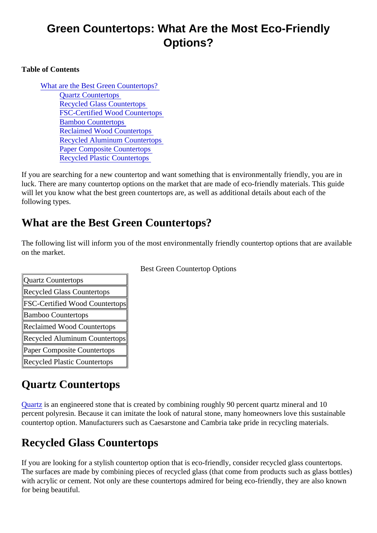## Green Countertops: What Are the Most Eco-Friendly Options?

#### Table of Contents

What are the Best Green Countertops? Quartz Countertops Recycled Glass Countertops [FSC-Certified Wood Countertop](#page-1-0)s [Bamboo Countertop](#page-1-0)s [Reclaimed Wood Countertop](#page-1-0)s [Recycled Aluminum Countertop](#page-1-0)s [Paper Composite Counterto](#page-1-0)ps [Recycled Plastic Counterto](#page-1-0)ps

If you are searching for a new countertop and want something that is environmentally friendly, you are in luck. There are many countertop options on the market that are made of eco-friendly materials. This guide will let you know what the best green countertops are, as well as additional details about each of the following types.

#### What are the Best Green Countertops?

The following list will inform you of the most environmentally friendly countertop options that are available on the market.

| <b>Quartz Countertops</b>             |  |
|---------------------------------------|--|
| <b>Recycled Glass Countertops</b>     |  |
| <b>FSC-Certified Wood Countertops</b> |  |
| <b>Bamboo Countertops</b>             |  |
| <b>Reclaimed Wood Countertops</b>     |  |
| Recycled Aluminum Countertops         |  |
| Paper Composite Countertops           |  |
| <b>Recycled Plastic Countertops</b>   |  |
|                                       |  |

Best Green Countertop Options

# Quartz Countertops

Quartzis an engineered stone that is created by combining roughly 90 percent quartz mineral and 10 percent polyresin. Because it can imitate the look of natural stone, many homeowners love this sustainable countertop option. Manufacturers such as Caesarstone and Cambria take pride in recycling materials.

# Recycled Glass Countertops

If you are looking for a stylish countertop option that is eco-friendly, consider recycled glass countertops. The surfaces are made by combining pieces of recycled glass (that come from products such as glass bot with acrylic or cement. Not only are these countertops admired for being eco-friendly, they are also known for being beautiful.